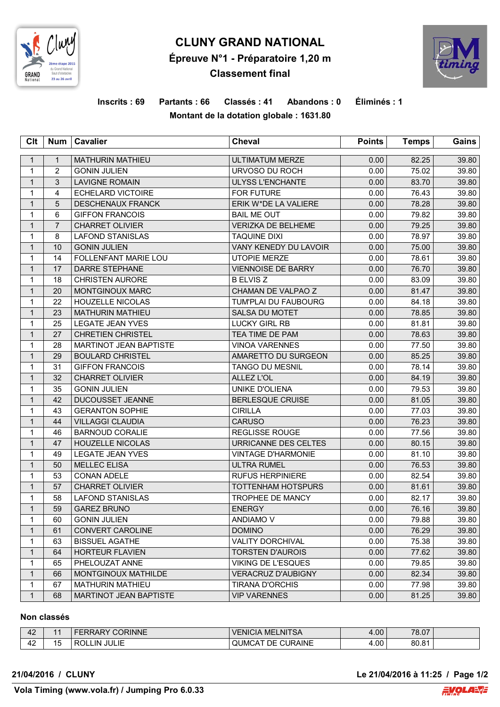

# **CLUNY GRAND NATIONAL Épreuve N°1 - Préparatoire 1,20 m Classement final**



## **Inscrits : 69 Partants : 66 Classés : 41 Abandons : 0 Éliminés : 1 Montant de la dotation globale : 1631.80**

| Clt          | <b>Num</b>     | <b>Cavalier</b>               | Cheval                       | <b>Points</b> | <b>Temps</b> | Gains |
|--------------|----------------|-------------------------------|------------------------------|---------------|--------------|-------|
| $\mathbf{1}$ | $\mathbf{1}$   | <b>MATHURIN MATHIEU</b>       | <b>ULTIMATUM MERZE</b>       | 0.00          | 82.25        | 39.80 |
| $\mathbf{1}$ | $\overline{2}$ | <b>GONIN JULIEN</b>           | URVOSO DU ROCH               | 0.00          | 75.02        | 39.80 |
| $\mathbf{1}$ | 3              | <b>LAVIGNE ROMAIN</b>         | <b>ULYSS L'ENCHANTE</b>      | 0.00          | 83.70        | 39.80 |
| 1            | 4              | <b>ECHELARD VICTOIRE</b>      | <b>FOR FUTURE</b>            | 0.00          | 76.43        | 39.80 |
| $\mathbf{1}$ | 5              | <b>DESCHENAUX FRANCK</b>      | ERIK W*DE LA VALIERE         | 0.00          | 78.28        | 39.80 |
| 1            | 6              | <b>GIFFON FRANCOIS</b>        | <b>BAIL ME OUT</b>           | 0.00          | 79.82        | 39.80 |
| $\mathbf{1}$ | $\overline{7}$ | <b>CHARRET OLIVIER</b>        | <b>VERIZKA DE BELHEME</b>    | 0.00          | 79.25        | 39.80 |
| $\mathbf{1}$ | 8              | <b>LAFOND STANISLAS</b>       | <b>TAQUINE DIXI</b>          | 0.00          | 78.97        | 39.80 |
| $\mathbf{1}$ | 10             | <b>GONIN JULIEN</b>           | <b>VANY KENEDY DU LAVOIR</b> | 0.00          | 75.00        | 39.80 |
| 1            | 14             | FOLLENFANT MARIE LOU          | <b>UTOPIE MERZE</b>          | 0.00          | 78.61        | 39.80 |
| $\mathbf{1}$ | 17             | <b>DARRE STEPHANE</b>         | <b>VIENNOISE DE BARRY</b>    | 0.00          | 76.70        | 39.80 |
| $\mathbf{1}$ | 18             | CHRISTEN AURORE               | <b>B ELVIS Z</b>             | 0.00          | 83.09        | 39.80 |
| $\mathbf{1}$ | 20             | MONTGINOUX MARC               | CHAMAN DE VALPAO Z           | 0.00          | 81.47        | 39.80 |
| $\mathbf{1}$ | 22             | <b>HOUZELLE NICOLAS</b>       | TUM'PLAI DU FAUBOURG         | 0.00          | 84.18        | 39.80 |
| $\mathbf{1}$ | 23             | <b>MATHURIN MATHIEU</b>       | <b>SALSA DU MOTET</b>        | 0.00          | 78.85        | 39.80 |
| 1            | 25             | <b>LEGATE JEAN YVES</b>       | <b>LUCKY GIRL RB</b>         | 0.00          | 81.81        | 39.80 |
| $\mathbf{1}$ | 27             | <b>CHRETIEN CHRISTEL</b>      | TEA TIME DE PAM              | 0.00          | 78.63        | 39.80 |
| 1            | 28             | MARTINOT JEAN BAPTISTE        | <b>VINOA VARENNES</b>        | 0.00          | 77.50        | 39.80 |
| $\mathbf{1}$ | 29             | <b>BOULARD CHRISTEL</b>       | AMARETTO DU SURGEON          | 0.00          | 85.25        | 39.80 |
| $\mathbf{1}$ | 31             | <b>GIFFON FRANCOIS</b>        | <b>TANGO DU MESNIL</b>       | 0.00          | 78.14        | 39.80 |
| $\mathbf{1}$ | 32             | <b>CHARRET OLIVIER</b>        | <b>ALLEZ L'OL</b>            | 0.00          | 84.19        | 39.80 |
| 1            | 35             | <b>GONIN JULIEN</b>           | <b>UNIKE D'OLIENA</b>        | 0.00          | 79.53        | 39.80 |
| $\mathbf{1}$ | 42             | DUCOUSSET JEANNE              | <b>BERLESQUE CRUISE</b>      | 0.00          | 81.05        | 39.80 |
| 1            | 43             | <b>GERANTON SOPHIE</b>        | <b>CIRILLA</b>               | 0.00          | 77.03        | 39.80 |
| $\mathbf{1}$ | 44             | <b>VILLAGGI CLAUDIA</b>       | <b>CARUSO</b>                | 0.00          | 76.23        | 39.80 |
| $\mathbf{1}$ | 46             | <b>BARNOUD CORALIE</b>        | <b>REGLISSE ROUGE</b>        | 0.00          | 77.56        | 39.80 |
| $\mathbf{1}$ | 47             | <b>HOUZELLE NICOLAS</b>       | URRICANNE DES CELTES         | 0.00          | 80.15        | 39.80 |
| 1            | 49             | LEGATE JEAN YVES              | <b>VINTAGE D'HARMONIE</b>    | 0.00          | 81.10        | 39.80 |
| $\mathbf{1}$ | 50             | <b>MELLEC ELISA</b>           | <b>ULTRA RUMEL</b>           | 0.00          | 76.53        | 39.80 |
| 1            | 53             | <b>CONAN ADELE</b>            | <b>RUFUS HERPINIERE</b>      | 0.00          | 82.54        | 39.80 |
| $\mathbf{1}$ | 57             | <b>CHARRET OLIVIER</b>        | TOTTENHAM HOTSPURS           | 0.00          | 81.61        | 39.80 |
| $\mathbf{1}$ | 58             | <b>LAFOND STANISLAS</b>       | <b>TROPHEE DE MANCY</b>      | 0.00          | 82.17        | 39.80 |
| $\mathbf{1}$ | 59             | <b>GAREZ BRUNO</b>            | <b>ENERGY</b>                | 0.00          | 76.16        | 39.80 |
| 1            | 60             | <b>GONIN JULIEN</b>           | ANDIAMO V                    | 0.00          | 79.88        | 39.80 |
| $\mathbf{1}$ | 61             | <b>CONVERT CAROLINE</b>       | <b>DOMINO</b>                | 0.00          | 76.29        | 39.80 |
| 1            | 63             | <b>BISSUEL AGATHE</b>         | <b>VALITY DORCHIVAL</b>      | 0.00          | 75.38        | 39.80 |
| $\mathbf{1}$ | 64             | <b>HORTEUR FLAVIEN</b>        | <b>TORSTEN D'AUROIS</b>      | 0.00          | 77.62        | 39.80 |
| 1            | 65             | PHELOUZAT ANNE                | <b>VIKING DE L'ESQUES</b>    | 0.00          | 79.85        | 39.80 |
| $\mathbf{1}$ | 66             | MONTGINOUX MATHILDE           | <b>VERACRUZ D'AUBIGNY</b>    | 0.00          | 82.34        | 39.80 |
| 1            | 67             | <b>MATHURIN MATHIEU</b>       | TIRANA D'ORCHIS              | 0.00          | 77.98        | 39.80 |
| $\mathbf 1$  | 68             | <b>MARTINOT JEAN BAPTISTE</b> | <b>VIP VARENNES</b>          | 0.00          | 81.25        | 39.80 |

#### **Non classés**

| 42      |         | :ORINNE<br>$\overline{\mathcal{L}}$ | ELNITSA<br><b>VENICIA</b><br><b>ME</b> | 4.00 | 78.07 |  |
|---------|---------|-------------------------------------|----------------------------------------|------|-------|--|
| ៱<br>44 | -<br>15 | <b>JULIE</b><br>ാറ<br>ΙN            | CURAINE<br>DE<br>™QUMC,                | 4.00 | 80.81 |  |

**21/04/2016 / CLUNY Le 21/04/2016 à 11:25 / Page 1/2**